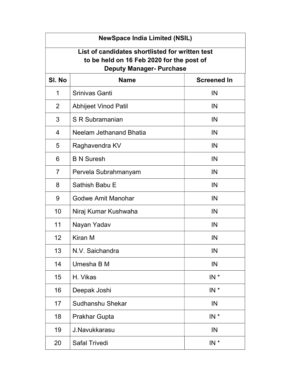| <b>NewSpace India Limited (NSIL)</b>                                                                                            |                             |                    |  |
|---------------------------------------------------------------------------------------------------------------------------------|-----------------------------|--------------------|--|
| List of candidates shortlisted for written test<br>to be held on 16 Feb 2020 for the post of<br><b>Deputy Manager- Purchase</b> |                             |                    |  |
| SI. No                                                                                                                          | <b>Name</b>                 | <b>Screened In</b> |  |
| $\mathbf 1$                                                                                                                     | Srinivas Ganti              | IN                 |  |
| 2                                                                                                                               | <b>Abhijeet Vinod Patil</b> | IN                 |  |
| 3                                                                                                                               | S R Subramanian             | IN                 |  |
| $\overline{4}$                                                                                                                  | Neelam Jethanand Bhatia     | IN                 |  |
| 5                                                                                                                               | Raghavendra KV              | IN                 |  |
| 6                                                                                                                               | <b>B N Suresh</b>           | IN                 |  |
| 7                                                                                                                               | Pervela Subrahmanyam        | IN                 |  |
| 8                                                                                                                               | Sathish Babu E              | IN                 |  |
| 9                                                                                                                               | <b>Godwe Amit Manohar</b>   | IN                 |  |
| 10                                                                                                                              | Niraj Kumar Kushwaha        | IN                 |  |
| 11                                                                                                                              | Nayan Yadav                 | IN                 |  |
| 12                                                                                                                              | Kiran M                     | IN                 |  |
| 13                                                                                                                              | N.V. Saichandra             | IN                 |  |
| 14                                                                                                                              | Umesha B M                  | IN                 |  |
| 15                                                                                                                              | H. Vikas                    | $IN^*$             |  |
| 16                                                                                                                              | Deepak Joshi                | $IN^*$             |  |
| 17                                                                                                                              | Sudhanshu Shekar            | IN                 |  |
| 18                                                                                                                              | Prakhar Gupta               | $IN^*$             |  |
| 19                                                                                                                              | J.Navukkarasu               | IN                 |  |
| 20                                                                                                                              | <b>Safal Trivedi</b>        | $IN^*$             |  |